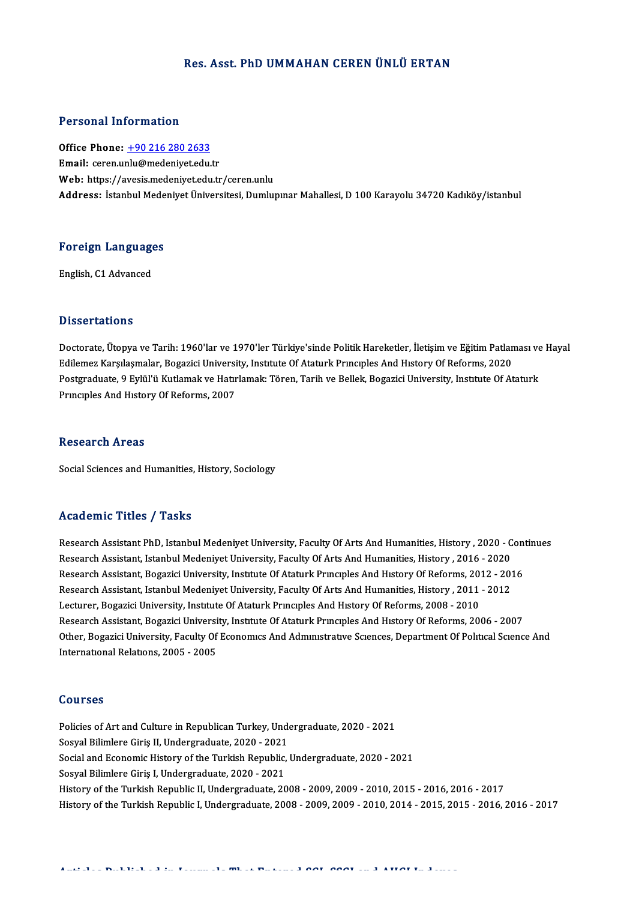# Res. Asst. PhD UMMAHAN CEREN ÜNLÜ ERTAN

# Personal Information

Office Phone: +90 216 280 2633 Email: ceren.u[nlu@medeniyet.edu](tel:+90 216 280 2633).tr Web: https://avesis.medeniyet.edu.tr/ceren.unlu Address: İstanbul Medeniyet Üniversitesi, Dumlupınar Mahallesi, D 100 Karayolu 34720 Kadıköy/istanbul

# Foreign Languages <mark>Foreign Language</mark><br>English, C1 Advanced

English, C1 Advanced<br>Dissertations

Dissertations<br>Doctorate, Ütopya ve Tarih: 1960'lar ve 1970'ler Türkiye'sinde Politik Hareketler, İletişim ve Eğitim Patlaması ve Hayal<br>Edilamaz Karalasmalar, Pagazisi University, Institute Of Ataturk Prunsuales And History E isseer tatrems<br>Doctorate, Ütopya ve Tarih: 1960'lar ve 1970'ler Türkiye'sinde Politik Hareketler, İletişim ve Eğitim Patlan<br>Edilemez Karşılaşmalar, Bogazici University, Institute Of Ataturk Prıncıples And Hıstory Of Refo Doctorate, Ütopya ve Tarih: 1960'lar ve 1970'ler Türkiye'sinde Politik Hareketler, İletişim ve Eğitim Patlaması ve<br>Edilemez Karşılaşmalar, Bogazici University, Institute Of Ataturk Principles And History Of Reforms, 2020<br>P Edilemez Karşılaşmalar, Bogazici Universi<br>Postgraduate, 9 Eylül'ü Kutlamak ve Hatır<br>Prıncıples And Hıstory Of Reforms, 2007 Principles And History Of Reforms, 2007<br>Research Areas

Social Sciences and Humanities, History, Sociology

### Academic Titles / Tasks

Academic Titles / Tasks<br>Research Assistant PhD, Istanbul Medeniyet University, Faculty Of Arts And Humanities, History , 2020 - Continues<br>Research Assistant, Istanbul Medeniyet University, Faculty Of Arts And Humanities, H Research Assistant PhD, Istanbul Medeniyet University, Faculty Of Arts And Humanities, History , 2020 - C<br>Research Assistant, Istanbul Medeniyet University, Faculty Of Arts And Humanities, History , 2016 - 2020<br>Research As Research Assistant PhD, Istanbul Medeniyet University, Faculty Of Arts And Humanities, History , 2020 - Con<br>Research Assistant, Istanbul Medeniyet University, Faculty Of Arts And Humanities, History , 2016 - 2020<br>Research Research Assistant, Istanbul Medeniyet University, Faculty Of Arts And Humanities, History , 2016 - 2020<br>Research Assistant, Bogazici University, Institute Of Ataturk Principles And History Of Reforms, 2012 - 201<br>Research Research Assistant, Bogazici University, Institute Of Ataturk Principles And History Of Reforms, 2012 - 2016<br>Research Assistant, Istanbul Medeniyet University, Faculty Of Arts And Humanities, History , 2011 - 2012<br>Lecturer Research Assistant, Istanbul Medeniyet University, Faculty Of Arts And Humanities, History , 2011 - 2012<br>Lecturer, Bogazici University, Institute Of Ataturk Principles And History Of Reforms, 2008 - 2010<br>Research Assistant Lecturer, Bogazici University, Institute Of Ataturk Principles And History Of Reforms, 2008 - 2010<br>Research Assistant, Bogazici University, Institute Of Ataturk Principles And History Of Reforms, 2006 - 2007<br>Other, Bogazic Research Assistant, Bogazici Universi<br>Other, Bogazici University, Faculty Of<br>International Relations, 2005 - 2005 International Relations, 2005 - 2005<br>Courses

Policies of Art and Culture in Republican Turkey, Undergraduate, 2020 - 2021 Sources<br>Policies of Art and Culture in Republican Turkey, Unde<br>Sosyal Bilimlere Giriş II, Undergraduate, 2020 - 2021<br>Sosial and Economia History of the Turkish Bopublia Social and Economic History of the Turkish Republic, Undergraduate, 2020 - 2021<br>Sosyal Bilimlere Giriş I, Undergraduate, 2020 - 2021 Sosyal Bilimlere Giriş II, Undergraduate, 2020 - 2021<br>Social and Economic History of the Turkish Republic,<br>Sosyal Bilimlere Giriş I, Undergraduate, 2020 - 2021<br>History of the Turkish Benublie II, Undergraduate, 20 History of the Turkish Republic II, Undergraduate, 2008 - 2009, 2009 - 2010, 2015 - 2016, 2016 - 2017 History of the Turkish Republic I, Undergraduate, 2008 - 2009, 2009 - 2010, 2014 - 2015, 2015 - 2016, 2016 - 2017